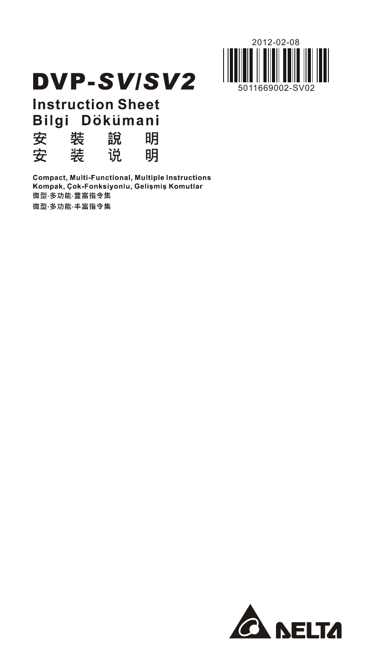

# **DVP-SV/SV2**

**Instruction Sheet** Bilgi Dökümani

| 安 | 装 | 說 | 明 |
|---|---|---|---|
| 安 | 装 | 说 | 明 |

Compact, Multi-Functional, Multiple Instructions Kompak, Çok-Fonksiyonlu, Gelişmiş Komutlar 微型·多功能·豐富指令集 微型·多功能·丰富指令集

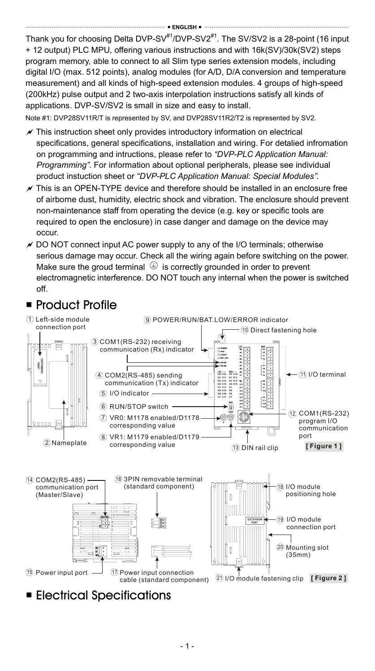Thank you for choosing Delta DVP-SV $^{#1}/$ DVP-SV $2^{#1}$ . The SV/SV2 is a 28-point (16 input + 12 output) PLC MPU, offering various instructions and with 16k(SV)/30k(SV2) steps program memory, able to connect to all Slim type series extension models, including digital I/O (max. 512 points), analog modules (for A/D, D/A conversion and temperature measurement) and all kinds of high-speed extension modules. 4 groups of high-speed (200kHz) pulse output and 2 two-axis interpolation instructions satisfy all kinds of applications. DVP-SV/SV2 is small in size and easy to install.

Note #1: DVP28SV11R/T is represented by SV, and DVP28SV11R2/T2 is represented by SV2.

- $\chi$  This instruction sheet only provides introductory information on electrical specifications, general specifications, installation and wiring. For detalied infromation on programming and intructions, please refer to *"DVP-PLC Application Manual: Programming"*. For information about optional peripherals, please see individual product instuction sheet or *"DVP-PLC Application Manual: Special Modules"*.
- $\chi$  This is an OPEN-TYPE device and therefore should be installed in an enclosure free of airborne dust, humidity, electric shock and vibration. The enclosure should prevent non-maintenance staff from operating the device (e.g. key or specific tools are required to open the enclosure) in case danger and damage on the device may occur.
- $\times$  DO NOT connect input AC power supply to any of the I/O terminals; otherwise serious damage may occur. Check all the wiring again before switching on the power. Make sure the groud terminal  $\bigoplus$  is correctly grounded in order to prevent electromagnetic interference. DO NOT touch any internal when the power is switched off.



**Electrical Specifications**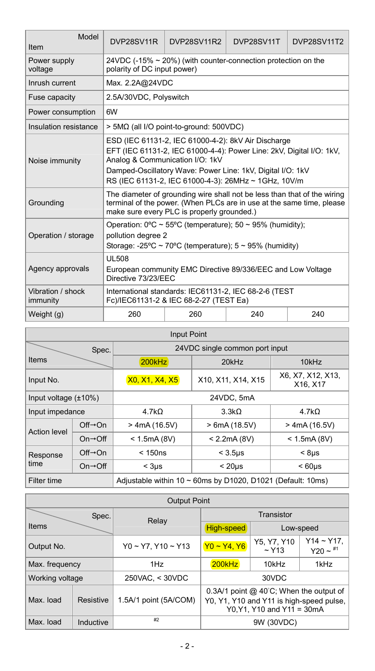| Model<br>Item                 | DVP28SV11R                                                                                                                                                                                                                                                                           | <b>DVP28SV11R2</b>                                            | DVP28SV11T | <b>DVP28SV11T2</b> |  |
|-------------------------------|--------------------------------------------------------------------------------------------------------------------------------------------------------------------------------------------------------------------------------------------------------------------------------------|---------------------------------------------------------------|------------|--------------------|--|
| Power supply<br>voltage       | polarity of DC input power)                                                                                                                                                                                                                                                          | 24VDC (-15% ~ 20%) (with counter-connection protection on the |            |                    |  |
| Inrush current                | Max. 2.2A@24VDC                                                                                                                                                                                                                                                                      |                                                               |            |                    |  |
| Fuse capacity                 | 2.5A/30VDC, Polyswitch                                                                                                                                                                                                                                                               |                                                               |            |                    |  |
| Power consumption             | 6W                                                                                                                                                                                                                                                                                   |                                                               |            |                    |  |
| Insulation resistance         |                                                                                                                                                                                                                                                                                      | > 5MΩ (all I/O point-to-ground: 500VDC)                       |            |                    |  |
| Noise immunity                | ESD (IEC 61131-2, IEC 61000-4-2): 8kV Air Discharge<br>EFT (IEC 61131-2, IEC 61000-4-4): Power Line: 2kV, Digital I/O: 1kV,<br>Analog & Communication I/O: 1kV<br>Damped-Oscillatory Wave: Power Line: 1kV, Digital I/O: 1kV<br>RS (IEC 61131-2, IEC 61000-4-3): 26MHz ~ 1GHz, 10V/m |                                                               |            |                    |  |
| Grounding                     | The diameter of grounding wire shall not be less than that of the wiring<br>terminal of the power. (When PLCs are in use at the same time, please<br>make sure every PLC is properly grounded.)                                                                                      |                                                               |            |                    |  |
| Operation / storage           | Operation: 0°C ~ 55°C (temperature); 50 ~ 95% (humidity);<br>pollution degree 2<br>Storage: -25°C ~ 70°C (temperature): $5 \sim 95\%$ (humidity)                                                                                                                                     |                                                               |            |                    |  |
| Agency approvals              | <b>UL508</b><br>European community EMC Directive 89/336/EEC and Low Voltage<br>Directive 73/23/EEC                                                                                                                                                                                   |                                                               |            |                    |  |
| Vibration / shock<br>immunity | International standards: IEC61131-2, IEC 68-2-6 (TEST<br>Fc)/IEC61131-2 & IEC 68-2-27 (TEST Ea)                                                                                                                                                                                      |                                                               |            |                    |  |
| Weight (g)                    | 260                                                                                                                                                                                                                                                                                  | 260                                                           | 240        | 240                |  |

| <b>Input Point</b>               |                                                             |                       |                                |                               |  |  |  |
|----------------------------------|-------------------------------------------------------------|-----------------------|--------------------------------|-------------------------------|--|--|--|
|                                  | Spec.                                                       |                       | 24VDC single common port input |                               |  |  |  |
| <b>Items</b>                     |                                                             | 200kHz                | $20$ kHz                       | 10kHz                         |  |  |  |
| Input No.                        |                                                             | <b>X0, X1, X4, X5</b> | X10, X11, X14, X15             | X6, X7, X12, X13.<br>X16, X17 |  |  |  |
|                                  | 24VDC, 5mA<br>Input voltage $(\pm 10\%)$                    |                       |                                |                               |  |  |  |
| Input impedance                  |                                                             | 4.7kO                 | 3.3kO                          |                               |  |  |  |
| <b>Action level</b>              | $Off \rightarrow On$                                        | $>$ 4mA (16.5V)       | > 6mA(18.5V)                   | $>$ 4mA (16.5V)               |  |  |  |
|                                  | $On \rightarrow \bigcirc ff$                                | < 1.5mA(8V)           | < 2.2mA(8V)                    | < 1.5mA(8V)                   |  |  |  |
| $Off \rightarrow On$<br>Response |                                                             | < 150ns               | $<$ 3.5 $\mu$ s                | < 8 <sub>µS</sub>             |  |  |  |
| time                             | $On \rightarrow \bigcirc ff$                                | $<$ 3us               | < 20 <sub>us</sub>             | < 60 <sub>us</sub>            |  |  |  |
| Filter time                      | Adjustable within 10 ~ 60ms by D1020, D1021 (Default: 10ms) |                       |                                |                               |  |  |  |

| <b>Output Point</b>   |                                           |                               |                                                                                                                  |            |                             |  |
|-----------------------|-------------------------------------------|-------------------------------|------------------------------------------------------------------------------------------------------------------|------------|-----------------------------|--|
| Spec.<br><b>Items</b> |                                           | Relay                         | Transistor                                                                                                       |            |                             |  |
|                       |                                           |                               | High-speed                                                                                                       | Low-speed  |                             |  |
| Output No.            |                                           | $Y0 \sim Y7$ , $Y10 \sim Y13$ | Y5, Y7, Y10<br>$Y0 - Y4, Y6$<br>$~\sim$ Y <sub>13</sub>                                                          |            | $Y14 - Y17$ ,<br>$Y20 - 11$ |  |
| Max. frequency        |                                           | 1H <sub>Z</sub>               | 200kHz<br>10kHz                                                                                                  |            | 1kHz                        |  |
| Working voltage       |                                           | 250VAC, < 30VDC               | 30VDC                                                                                                            |            |                             |  |
| Max. load             | 1.5A/1 point (5A/COM)<br><b>Resistive</b> |                               | 0.3A/1 point @ 40°C; When the output of<br>Y0, Y1, Y10 and Y11 is high-speed pulse,<br>Y0.Y1. Y10 and Y11 = 30mA |            |                             |  |
| Max. load             | Inductive                                 | #2                            |                                                                                                                  | 9W (30VDC) |                             |  |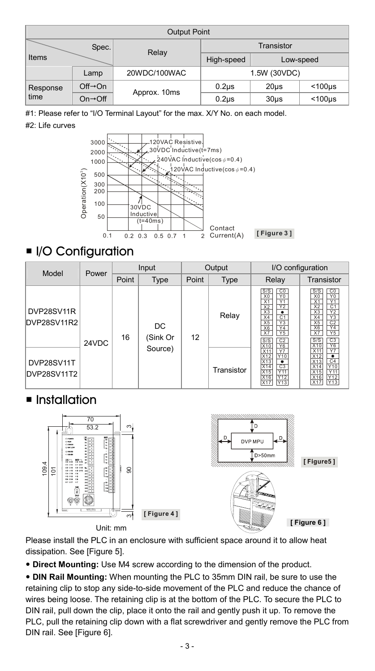| <b>Output Point</b> |                              |              |                   |         |                 |  |
|---------------------|------------------------------|--------------|-------------------|---------|-----------------|--|
| Spec.<br>Items      |                              | Relay        | Transistor        |         |                 |  |
|                     |                              |              | High-speed        |         | Low-speed       |  |
|                     | Lamp                         | 20WDC/100WAC | 1.5W (30VDC)      |         |                 |  |
| Response            | $Off \rightarrow On$         | Approx. 10ms | 0.2 <sub>us</sub> | 20us    | $<$ 100 $\mu$ s |  |
| time                | $On \rightarrow \bigcirc ff$ |              | $0.2µ$ s          | $30µ$ s | $<$ 100 $\mu$ s |  |

#1: Please refer to "I/O Terminal Layout" for the max. X/Y No. on each model.

#### #2: Life curves



### ■ I/O Configuration

| Model<br>Power            |       | Input |                 | Output |            | I/O configuration                                                                                                                                                                                                  |                                                                                                                                                                                                                                                                           |
|---------------------------|-------|-------|-----------------|--------|------------|--------------------------------------------------------------------------------------------------------------------------------------------------------------------------------------------------------------------|---------------------------------------------------------------------------------------------------------------------------------------------------------------------------------------------------------------------------------------------------------------------------|
|                           |       | Point | Type            | Point  | Type       | Relay                                                                                                                                                                                                              | Transistor                                                                                                                                                                                                                                                                |
| DVP28SV11R<br>DVP28SV11R2 | 24VDC | 16    | DC.<br>(Sink Or | 12     | Relay      | $\frac{C0}{Y0}$<br>S/S<br>X <sub>0</sub><br>Y1<br>X1<br>X2<br>X3<br>X4<br>X5<br>X6<br>$\overline{Y2}$<br>$\bullet$<br>$rac{C1}{Y3}$<br>$\frac{V3}{Y4}$<br>Y <sub>5</sub><br>X7<br>$rac{C2}{Y6}$<br>$rac{S/S}{X10}$ | CO<br>S/S<br>Υō<br>X <sub>0</sub><br>X <sub>1</sub><br>Y1<br>C <sub>1</sub><br>X <sub>2</sub><br>Y <sub>2</sub><br>X <sub>3</sub><br>X <sub>4</sub><br>Y <sub>3</sub><br>C <sub>2</sub><br>X <sub>5</sub><br>Y4<br>X6<br><b>Y5</b><br>X7<br>$\frac{C3}{Y6}$<br>S/S<br>X10 |
| DVP28SV11T<br>DVP28SV11T2 |       |       | Source)         |        | Transistor | $\frac{Y}{10}$<br>$\frac{X11}{X12}$<br>X13<br>$\bullet$<br>$rac{1}{x^{14}}$<br>$rac{1}{x^{15}}$<br>$rac{C3}{Y11}$<br>$Y12$<br>Y13                                                                                  | Y7<br>X <sub>11</sub><br>X12<br>Ŧ<br>C <sub>4</sub><br>X13<br>Y10<br>X14<br>Y11<br>X15<br>Y12<br>X16<br>Y <sub>13</sub><br>X17                                                                                                                                            |

### $\blacksquare$  Installation



Please install the PLC in an enclosure with sufficient space around it to allow heat dissipation. See [Figure 5].

**• Direct Mounting:** Use M4 screw according to the dimension of the product.

y **DIN Rail Mounting:** When mounting the PLC to 35mm DIN rail, be sure to use the retaining clip to stop any side-to-side movement of the PLC and reduce the chance of wires being loose. The retaining clip is at the bottom of the PLC. To secure the PLC to DIN rail, pull down the clip, place it onto the rail and gently push it up. To remove the PLC, pull the retaining clip down with a flat screwdriver and gently remove the PLC from DIN rail. See [Figure 6].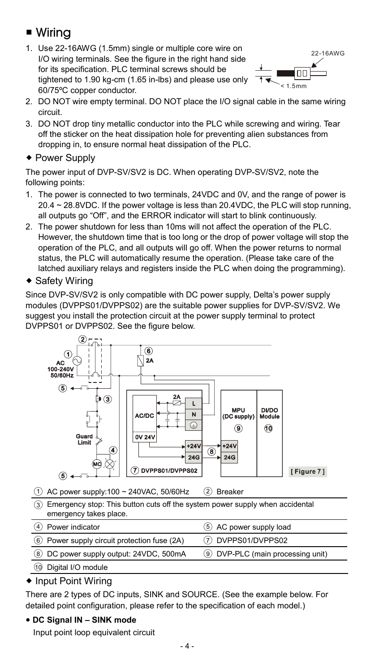# ■ Wirina

1. Use 22-16AWG (1.5mm) single or multiple core wire on I/O wiring terminals. See the figure in the right hand side for its specification. PLC terminal screws should be tightened to 1.90 kg-cm (1.65 in-lbs) and please use only 60/75ºC copper conductor.



- 2. DO NOT wire empty terminal. DO NOT place the I/O signal cable in the same wiring circuit.
- 3. DO NOT drop tiny metallic conductor into the PLC while screwing and wiring. Tear off the sticker on the heat dissipation hole for preventing alien substances from dropping in, to ensure normal heat dissipation of the PLC.
- ◆ Power Supply

The power input of DVP-SV/SV2 is DC. When operating DVP-SV/SV2, note the following points:

- 1. The power is connected to two terminals, 24VDC and 0V, and the range of power is 20.4 ~ 28.8VDC. If the power voltage is less than 20.4VDC, the PLC will stop running, all outputs go "Off", and the ERROR indicator will start to blink continuously.
- 2. The power shutdown for less than 10ms will not affect the operation of the PLC. However, the shutdown time that is too long or the drop of power voltage will stop the operation of the PLC, and all outputs will go off. When the power returns to normal status, the PLC will automatically resume the operation. (Please take care of the latched auxiliary relays and registers inside the PLC when doing the programming).
- ◆ Safety Wiring

Since DVP-SV/SV2 is only compatible with DC power supply, Delta's power supply modules (DVPPS01/DVPPS02) are the suitable power supplies for DVP-SV/SV2. We suggest you install the protection circuit at the power supply terminal to protect DVPPS01 or DVPPS02. See the figure below.



| (4) Power indicator                         | (5) AC power supply load         |
|---------------------------------------------|----------------------------------|
| 6 Power supply circuit protection fuse (2A) | (7) DVPPS01/DVPPS02              |
| 8 DC power supply output: 24VDC, 500mA      | 9 DVP-PLC (main processing unit) |

○<sup>10</sup> Digital I/O module

#### ◆ Input Point Wiring

There are 2 types of DC inputs, SINK and SOURCE. (See the example below. For detailed point configuration, please refer to the specification of each model.)

#### y **DC Signal IN – SINK mode**

Input point loop equivalent circuit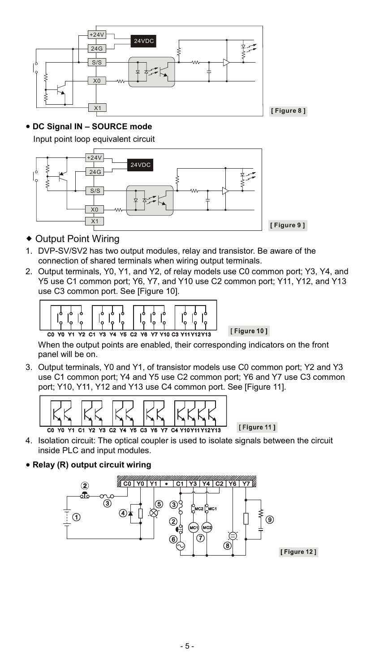

#### y **DC Signal IN – SOURCE mode**

Input point loop equivalent circuit



- Output Point Wiring
- 1. DVP-SV/SV2 has two output modules, relay and transistor. Be aware of the connection of shared terminals when wiring output terminals.
- 2. Output terminals, Y0, Y1, and Y2, of relay models use C0 common port; Y3, Y4, and Y5 use C1 common port; Y6, Y7, and Y10 use C2 common port; Y11, Y12, and Y13 use C3 common port. See [Figure 10].



When the output points are enabled, their corresponding indicators on the front panel will be on.

[Figure 10]

3. Output terminals, Y0 and Y1, of transistor models use C0 common port; Y2 and Y3 use C1 common port; Y4 and Y5 use C2 common port; Y6 and Y7 use C3 common port; Y10, Y11, Y12 and Y13 use C4 common port. See [Figure 11].



- 4. Isolation circuit: The optical coupler is used to isolate signals between the circuit inside PLC and input modules.
- y **Relay (R) output circuit wiring**

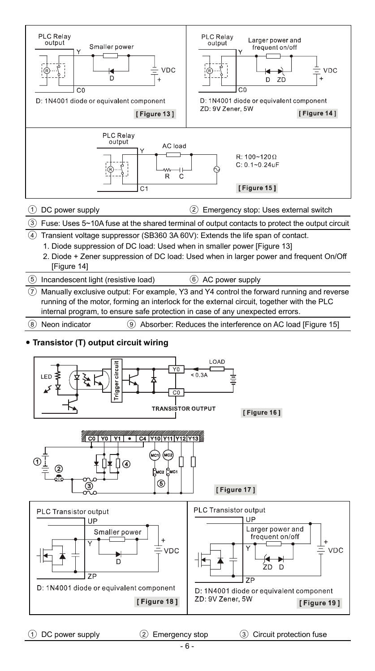

○1 DC power supply ○<sup>2</sup> Emergency stop ○<sup>3</sup> Circuit protection fuse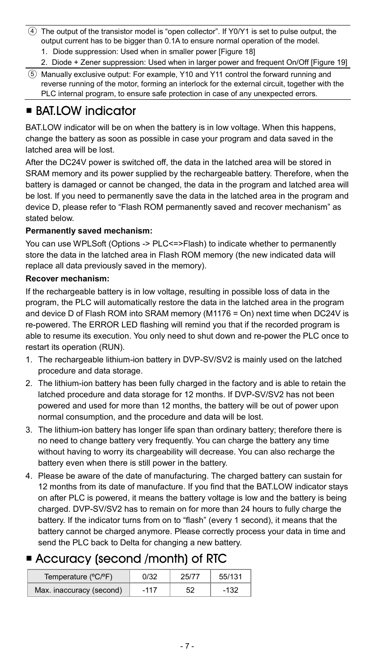- ○<sup>4</sup> The output of the transistor model is "open collector". If Y0/Y1 is set to pulse output, the output current has to be bigger than 0.1A to ensure normal operation of the model.
	- 1. Diode suppression: Used when in smaller power [Figure 18]
	- 2. Diode + Zener suppression: Used when in larger power and frequent On/Off [Figure 19]
- ○<sup>5</sup> Manually exclusive output: For example, Y10 and Y11 control the forward running and reverse running of the motor, forming an interlock for the external circuit, together with the PLC internal program, to ensure safe protection in case of any unexpected errors.

# ■ BAT.LOW indicator

BAT.LOW indicator will be on when the battery is in low voltage. When this happens, change the battery as soon as possible in case your program and data saved in the latched area will be lost.

After the DC24V power is switched off, the data in the latched area will be stored in SRAM memory and its power supplied by the rechargeable battery. Therefore, when the battery is damaged or cannot be changed, the data in the program and latched area will be lost. If you need to permanently save the data in the latched area in the program and device D, please refer to "Flash ROM permanently saved and recover mechanism" as stated below.

#### **Permanently saved mechanism:**

You can use WPLSoft (Options -> PLC<=>Flash) to indicate whether to permanently store the data in the latched area in Flash ROM memory (the new indicated data will replace all data previously saved in the memory).

#### **Recover mechanism:**

If the rechargeable battery is in low voltage, resulting in possible loss of data in the program, the PLC will automatically restore the data in the latched area in the program and device D of Flash ROM into SRAM memory (M1176 = On) next time when DC24V is re-powered. The ERROR LED flashing will remind you that if the recorded program is able to resume its execution. You only need to shut down and re-power the PLC once to restart its operation (RUN).

- 1. The rechargeable lithium-ion battery in DVP-SV/SV2 is mainly used on the latched procedure and data storage.
- 2. The lithium-ion battery has been fully charged in the factory and is able to retain the latched procedure and data storage for 12 months. If DVP-SV/SV2 has not been powered and used for more than 12 months, the battery will be out of power upon normal consumption, and the procedure and data will be lost.
- 3. The lithium-ion battery has longer life span than ordinary battery; therefore there is no need to change battery very frequently. You can charge the battery any time without having to worry its chargeability will decrease. You can also recharge the battery even when there is still power in the battery.
- 4. Please be aware of the date of manufacturing. The charged battery can sustain for 12 months from its date of manufacture. If you find that the BAT.LOW indicator stays on after PLC is powered, it means the battery voltage is low and the battery is being charged. DVP-SV/SV2 has to remain on for more than 24 hours to fully charge the battery. If the indicator turns from on to "flash" (every 1 second), it means that the battery cannot be charged anymore. Please correctly process your data in time and send the PLC back to Delta for changing a new battery.

# Accuracy (second /month) of RTC

| Temperature (°C/°F)      | 0/32   | 25/77 | 55/131 |
|--------------------------|--------|-------|--------|
| Max. inaccuracy (second) | $-117$ | 52    | $-132$ |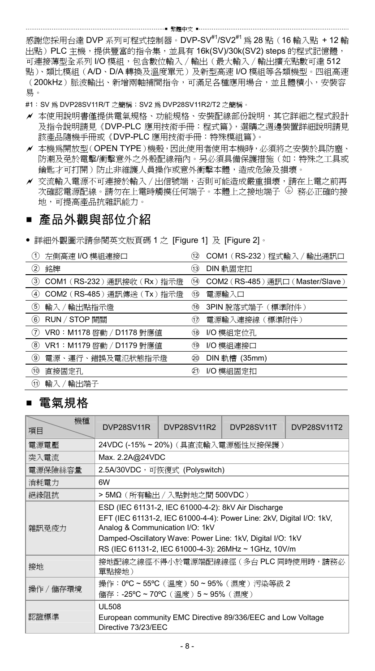感謝您採用台達 DVP 系列可程式控制器。DVP-SV<sup>#1</sup>/SV2<sup>#1</sup> 為 28 點(16 輸入點 +12 輸 出點)PLC 主機,提供豐富的指令集,並具有 16k(SV)/30k(SV2) steps 的程式記憶體, 可連接薄型全系列 I/O 模組,包含數位輸入∕輸出(最大輸入∕輸出擴充點數可達 512 點)、類比模組(A/D、D/A 轉換及溫度單元)及新型高速 I/O 模組等各類機型。四組高速 (200kHz)脈波輸出、新增兩軸補間指令,可滿足各種應用場合,並且體積小,安裝容 易。

- #1: SV 為 DVP28SV11R/T 之簡稱; SV2 為 DVP28SV11R2/T2 之簡稱。
- ✔ 本使用說明書僅提供電氣規格、功能規格、安裝配線部份說明,其它詳細之程式設計 及指令說明請見《DVP-PLC 應用技術手冊:程式篇》,選購之週邊裝置詳細說明請見 該產品隨機手冊或《DVP-PLC 應用技術手冊:特殊模組篇》。
- a 本機為開放型(OPEN TYPE)機殼,因此使用者使用本機時,必須將之安裝於具防塵、 防潮及免於電擊/衝擊意外之外殼配線箱內。另必須具備保護措施(如:特殊之工具或 鑰匙才可打開)防止非維護人員操作或意外衝擊本體,造成危險及損壞。
- a 交流輸入電源不可連接於輸入∕出信號端,否則可能造成嚴重損壞,請在上電之前再 次確認電源配線。請勿在上電時觸摸任何端子。本體上之接地端子  $\bm{\Theta}$  務必正確的接 地,可提高產品抗雜訊能力。

### ■ 產品外觀與部位介紹

y 詳細外觀圖示請參閱英文版頁碼 1 之 [Figure 1] 及 [Figure 2]。

| 左側高速 I/O 模組連接口              | COM1 (RS-232) 程式輸入 / 輸出通訊口       |
|-----------------------------|----------------------------------|
| O.                          | 12)                              |
| ②                           | DIN 軌固定扣                         |
| 銘牌                          | (13)                             |
| 3)                          | COM2 (RS-485) 通訊口 (Master/Slave) |
| COM1 (RS-232) 通訊接收 (Rx) 指示燈 | (14)                             |
| COM2 (RS-485) 通訊傳送 (Tx) 指示燈 | (15)                             |
| $\left( 4\right)$           | 電源輸入口                            |
| 5)                          | 3PIN 脫落式端子 (標準附件)                |
| 輸入 / 輸出點指示燈                 | 16                               |
| RUN / STOP 開關               | 電源輸入連接線 (標準附件)                   |
| 6)                          | (17)                             |
| 7)                          | I/O 模組定位孔                        |
| VR0: M1178 啓動 / D1178 對應值   | 18                               |
| $\bf{2}$                    | I/O 模組連接口                        |
| VR1: M1179 啓動 / D1179 對應値   | (19                              |
| 9)                          | DIN 軌槽 (35mm)                    |
| 電源、運行、錯誤及電氾狀態指示燈            | 20                               |
| (10)                        | I/O 模組固定扣                        |
| 直接固定孔                       | 21)                              |
| (11)<br>輸出端子<br>輸入 /        |                                  |

### ■ 電氣規格

| 機種<br>項目  | DVP28SV11R                                                                                                                                                                                                                                                                           | <b>DVP28SV11R2</b>                 | DVP28SV11T | DVP28SV11T2 |  |
|-----------|--------------------------------------------------------------------------------------------------------------------------------------------------------------------------------------------------------------------------------------------------------------------------------------|------------------------------------|------------|-------------|--|
| 雷源電壓      |                                                                                                                                                                                                                                                                                      | 24VDC (-15% ~ 20%) (具直流輸入電源極性反接保護) |            |             |  |
| 突入電流      | Max. 2.2A@24VDC                                                                                                                                                                                                                                                                      |                                    |            |             |  |
| 電源保險絲容量   |                                                                                                                                                                                                                                                                                      | 2.5A/30VDC,可恢復式 (Polyswitch)       |            |             |  |
| 消耗電力      | 6W                                                                                                                                                                                                                                                                                   |                                    |            |             |  |
| 絶緣阻抗      |                                                                                                                                                                                                                                                                                      | > 5MΩ ( 所有輸出 / 入點對地之間 500VDC )     |            |             |  |
| 雜訊免疫力     | ESD (IEC 61131-2, IEC 61000-4-2): 8kV Air Discharge<br>EFT (IEC 61131-2, IEC 61000-4-4): Power Line: 2kV, Digital I/O: 1kV,<br>Analog & Communication I/O: 1kV<br>Damped-Oscillatory Wave: Power Line: 1kV, Digital I/O: 1kV<br>RS (IEC 61131-2, IEC 61000-4-3): 26MHz ~ 1GHz, 10V/m |                                    |            |             |  |
| 接地        | 接地配線之線徑不得小於電源端配線線徑(多台 PLC 同時使用時,請務必<br>單點接地)                                                                                                                                                                                                                                         |                                    |            |             |  |
| 操作 / 儲存環境 | 操作: 0°C ~ 55°C (溫度) 50 ~ 95% (濕度) 污染等級 2<br>儲存:-25°C~70°C(溫度)5~95%(濕度)                                                                                                                                                                                                               |                                    |            |             |  |
| 認證標準      | UL 508<br>European community EMC Directive 89/336/EEC and Low Voltage<br>Directive 73/23/EEC                                                                                                                                                                                         |                                    |            |             |  |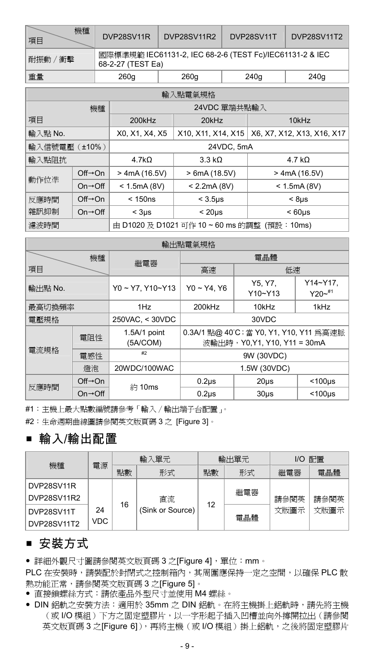| 機種<br>項目    | DVP28SV11R                                                                    | DVP28SV11R2 | DVP28SV11T | DVP28SV11T2 |  |
|-------------|-------------------------------------------------------------------------------|-------------|------------|-------------|--|
| "衝擊<br>耐振動/ | 國際標準規範 IEC61131-2, IEC 68-2-6 (TEST Fc)/IEC61131-2 & IEC<br>68-2-27 (TEST Ea) |             |            |             |  |
| 重量          | 260g                                                                          | 260g        | 240g       | 240g        |  |

| 輸入點電氣規格                             |                                            |                                                                   |                    |                 |  |
|-------------------------------------|--------------------------------------------|-------------------------------------------------------------------|--------------------|-----------------|--|
|                                     | 機種                                         |                                                                   | 24VDC 單端共點輸入       |                 |  |
| 項目                                  |                                            | 200kHz                                                            | $20$ kHz<br>10kHz  |                 |  |
| 輸入點 No.                             |                                            | X10, X11, X14, X15   X6, X7, X12, X13, X16, X17<br>X0, X1, X4, X5 |                    |                 |  |
| 輸入信號電壓 (±10%)                       |                                            | 24VDC, 5mA                                                        |                    |                 |  |
| 輸入點阻抗                               |                                            | 4.7k <sub>O</sub>                                                 | 3.3 kO             | $4.7 k\Omega$   |  |
|                                     | $Off \rightarrow On$                       | $>$ 4mA (16.5V)                                                   | > 6mA(18.5V)       | $>$ 4mA (16.5V) |  |
| 動作位準<br>$On \rightarrow \text{Off}$ |                                            | < 1.5mA(8V)                                                       | < 2.2mA(8V)        | < 1.5mA(8V)     |  |
| $Off \rightarrow On$<br>反應時間        |                                            | < 150ns                                                           | $<$ 3.5 $\mu$ s    | $< 8 \mu s$     |  |
| 雜訊抑制                                | $On \rightarrow \bigcirc ff$               | $<$ 3us                                                           | < 20 <sub>US</sub> | $< 60 \mu s$    |  |
| 濾波時間                                | 由 D1020 及 D1021 可作 10~60 ms 的調整 (預設: 10ms) |                                                                   |                    |                 |  |

| 輸出點電氣規格 |                              |                          |                                                                       |                        |                        |  |  |
|---------|------------------------------|--------------------------|-----------------------------------------------------------------------|------------------------|------------------------|--|--|
| 機種      |                              | 繼電器                      |                                                                       | 電晶體                    |                        |  |  |
| 項目      |                              |                          | 高速                                                                    | 低速                     |                        |  |  |
| 輸出點 No. |                              | Y0~Y7.Y10~Y13            | $Y0 - Y4. Y6$                                                         | Y5. Y7.<br>$Y10 - Y13$ | Y14~Y17.<br>$Y20 - 11$ |  |  |
| 最高切換頻率  |                              | 1Hz                      | 1kHz<br>200kHz<br>10kHz                                               |                        |                        |  |  |
| 電壓規格    | 250VAC, < 30VDC<br>30VDC     |                          |                                                                       |                        |                        |  |  |
| 電阻性     |                              | 1.5A/1 point<br>(5A/COM) | 0.3A/1 點@ 40°C;當 Y0, Y1, Y10, Y11 為高速脈<br>波輸出時,Y0.Y1, Y10, Y11 = 30mA |                        |                        |  |  |
| 電流規格    | 電感性                          | #2                       | 9W (30VDC)                                                            |                        |                        |  |  |
|         | 燈泡                           | 20WDC/100WAC             | 1.5W (30VDC)                                                          |                        |                        |  |  |
|         | $Off \rightarrow On$         | 約 10ms                   | $0.2µ$ s                                                              | $20µ$ s                | $<$ 100 $\mu$ s        |  |  |
| 反應時間    | $On \rightarrow \bigcirc ff$ |                          | $0.2µ$ s                                                              | $30µ$ s                | $< 100 \mu s$          |  |  |

#1:主機上最大點數編號請參考「輸入∕輸出端子台配置」。

#2:生命週期曲線圖請參閱英文版頁碼 3 之 [Figure 3]。

# ■ 輸入/輸出配置

|                           |            |    | 輸入單元             | I/O 配置<br>輸出單元 |     |      |      |
|---------------------------|------------|----|------------------|----------------|-----|------|------|
| 機種                        | 電源         | 點數 | 形式               | 點數             | 形式  | 繼電器  | 電晶體  |
| DVP28SV11R<br>DVP28SV11R2 |            |    | 直流               |                | 繼電器 | 請參閱英 | 請參閱英 |
| DVP28SV11T<br>DVP28SV11T2 | 24<br>VDC. | 16 | (Sink or Source) | 12             | 電晶體 | 文版圖示 | 文版圖示 |

# ■ 安裝方式

y 詳細外觀尺寸圖請參閱英文版頁碼 3 之[Figure 4],單位:mm。

PLC 在安裝時,請裝配於封閉式之控制箱內,其周圍應保持一定之空間,以確保 PLC 散 熱功能正常,請參閱英文版頁碼 3 之[Figure 5]。

- y 直接鎖螺絲方式:請依產品外型尺寸並使用 M4 螺絲。
- y DIN 鋁軌之安裝方法:適用於 35mm 之 DIN 鋁軌。在將主機掛上鋁軌時,請先將主機 (或 I/O 模組)下方之固定塑膠片,以一字形起子插入凹槽並向外撐開拉出(請參閱 英文版頁碼 3 之[Figure 6]),再將主機(或 I/O 模組)掛上鋁軌,之後將固定塑膠片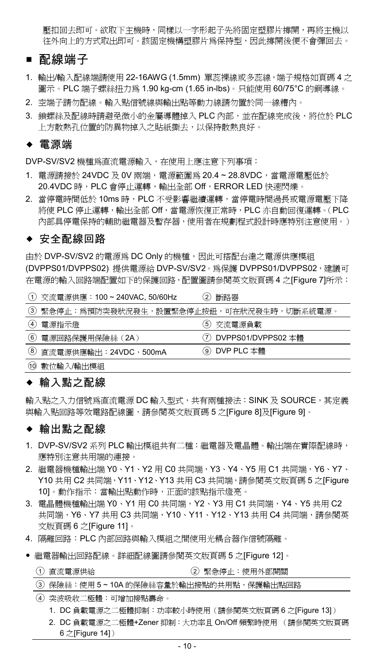壓扣回去即可。欲取下主機時,同樣以一字形起子先將固定塑膠片撐開,再將主機以 往外向上的方式取出即可。該固定機構塑膠片為保持型,因此撐開後便不會彈回去。

#### ■ 配線端子

- 1. 輸出/輸入配線端請使用 22-16AWG (1.5mm) 單蕊裸線或多蕊線,端子規格如百碼 4 之 圖示。PLC 端子螺絲扭力為 1.90 kg-cm (1.65 in-lbs)。只能使用 60/75°C 的銅導線。
- 2. 空端子請勿配線。輸入點信號線與輸出點等動力線請勿置於同一線糟內。
- 3. 鎖螺絲及配線時請避免微小的金屬導體掉入 PLC 內部,並在配線完成後,將位於 PLC 上方散熱孔位置的防異物掉入之貼紙撕去,以保持散熱良好。

#### 電源端

DVP-SV/SV2 機種為直流電源輸入,在使用上應注意下列事項:

- 1. 電源請接於 24VDC 及 0V 兩端, 電源範圍為 20.4~28.8VDC, 當電源電壓低於 20.4VDC 時, PLC 會停止運轉,輸出全部 Off, ERROR LED 快速閃爍。
- 2. 當停電時間低於 10ms 時, PLC 不受影響繼續運轉,當停電時間過長或電源電壓下降 將使 PLC 停止運轉,輸出全部 Off,當電源恢復正常時, PLC 亦自動回復運轉。(PLC 內部具停電保持的輔助繼電器及暫存器,使用者在規劃程式設計時應特別注意使用。)

#### ◆ 安全配線回路

由於 DVP-SV/SV2 的電源為 DC Only 的機種,因此可搭配台達之電源供應模組 (DVPPS01/DVPPS02) 提供電源給 DVP-SV/SV2。為保護 DVPPS01/DVPPS02,建議可 在電源的輸入回路端配置如下的保護回路,配置圖請參閱英文版頁碼 4 之[Figure 7]所示:

|   | (1) 交流電源供應: 100~240VAC, 50/60Hz           | $\mathbf{2}$<br>斷路器    |
|---|-------------------------------------------|------------------------|
|   | ③ 緊急停止:為預防突發狀況發生,設置緊急停止按鈕,可在狀況發生時,切斷系統電源。 |                        |
| ⋒ | 電源指示燈                                     | 5) 交流電源負載              |
|   | 6 電源回路保護用保險絲 (2A)                         | (7) DVPPS01/DVPPS02 本體 |
|   | 8 直流電源供應輸出: 24VDC, 500mA                  | ⑨ DVP PLC 本體           |
|   | 10 數位輸入輸出模組                               |                        |

### ◆ 輸入點之配線

輸入點之入力信號為直流電源 DC 輸入型式,共有兩種接法:SINK 及 SOURCE,其定義 與輸入點回路等效電路配線圖,請參閱英文版頁碼 5 之[Figure 8]及[Figure 9]。

#### ◆ 輸出點之配線

- 1. DVP-SV/SV2 系列 PLC 輸出模組共有二種:繼電器及電晶體。輸出端在實際配線時, 應特別注意共用端的連接。
- 2. 繼電器機種輸出端 Y0、Y1、Y2 用 C0 共同端, Y3、Y4、Y5 用 C1 共同端, Y6、Y7、 Y10 共用 C2 共同端,Y11、Y12、Y13 共用 C3 共同端,請參閱英文版頁碼 5 之[Figure 10]。動作指示:當輸出點動作時,正面的該點指示燈亮。
- 3. 電晶體機種輸出端 Y0、Y1 用 C0 共同端, Y2、Y3 用 C1 共同端, Y4、Y5 共用 C2 共同端, Y6、Y7 共用 C3 共同端, Y10、Y11、Y12、Y13 共用 C4 共同端,請參閱英 文版頁碼 6 之[Figure 11]。
- 4. 隔離回路:PLC 內部回路與輸入模組之間使用光耦合器作信號隔離。
- y 繼電器輸出回路配線。詳細配線圖請參閱英文版頁碼 5 之[Figure 12]。

|  |  | ① 直流電源供給 |  |  | 2 緊急停止:使用外部開關 |
|--|--|----------|--|--|---------------|
|--|--|----------|--|--|---------------|

| ③ 保險絲:使用 5 ~ 10A 的保險絲容量於輸出接點的共用點,保護輸出點回路 |  |
|------------------------------------------|--|
|------------------------------------------|--|

- 10 -

- ○<sup>4</sup> 突波吸收二極體:可增加接點壽命。
	- 1. DC 負載電源之二極體抑制:功率較小時使用(請參閱英文版頁碼 6 之[Figure 13]) 2. DC 負載電源之二極體+Zener 抑制:大功率且 On/Off 頻繁時使用 (請參閱英文版頁碼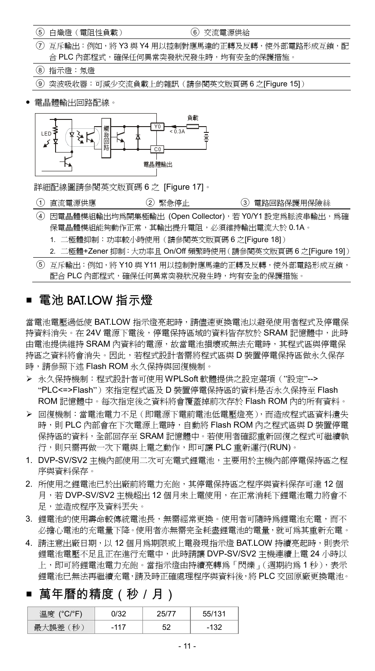○<sup>5</sup> 白熾燈(電阻性負載) ○<sup>6</sup> 交流電源供給

- ○<sup>7</sup> 互斥輸出:例如,將 Y3 與 Y4 用以控制對應馬達的正轉及反轉,使外部電路形成互鎖,配 合 PLC 內部程式,確保任何異常突發狀況發生時,均有安全的保護措施。
- ○<sup>8</sup> 指示燈:氖燈

○<sup>9</sup> 突波吸收器:可減少交流負載上的雜訊(請參閱英文版頁碼 6 之[Figure 15])

y 電晶體輸出回路配線。



詳細配線圖請參閱英文版頁碼 6 之 [Figure 17]。

- (1) 直流電源供應 (2) 緊急停止 (3) 電路回路保護用保險絲
- ○<sup>4</sup> 因電晶體模組輸出均為開集極輸出 (Open Collector),若 Y0/Y1 設定為脈波串輸出,為確 保電晶體模組能夠動作正常,其輸出提升電阻,必須維持輸出電流大於 0.1A。
	- 1. 二極體抑制:功率較小時使用(請參閱英文版頁碼 6 之[Figure 18])
	- 2. 二極體+Zener 抑制:大功率且 On/Off 頻繁時使用(請參閱英文版頁碼 6 之[Figure 19])
- ○<sup>5</sup> 互斥輸出:例如,將 Y10 與 Y11 用以控制對應馬達的正轉及反轉,使外部電路形成互鎖, 配合 PLC 內部程式,確保任何異常突發狀況發生時,均有安全的保護措施。

### 電池 BAT.LOW 指示燈

當電池電壓過低使 BAT.LOW 指示燈亮起時,請儘速更換電池以避免使用者程式及停電保 持資料消失。在 24V 電源下電後,停電保持區域的資料皆存放於 SRAM 記憶體中,此時 由電池提供維持 SRAM 內資料的電源,故當電池損壞或無法充電時,其程式區與停電保 持區之資料將會消失。因此,若程式設計者需將程式區與 D 裝置停電保持區做永久保存 時,請參照下述 Flash ROM 永久保持與回復機制。

- ¾ 永久保持機制:程式設計者可使用 WPLSoft 軟體提供之設定選項("設定"--> "PLC<=>Flash") 來指定程式區及 D 裝置停電保持區的資料是否永久保持至 Flash ROM 記憶體中。每次指定後之資料將會覆蓋掉前次存於 Flash ROM 內的所有資料。
- ¾ 回復機制:當電池電力不足(即電源下電前電池低電壓燈亮),而造成程式區資料遺失 時,則 PLC 內部會在下次電源上電時,自動將 Flash ROM 內之程式區與 D 裝置停電 保持區的資料,全部回存至 SRAM 記憶體中。若使用者確認重新回復之程式可繼續執 行,則只需再做一次下電與上電之動作,即可讓 PLC 重新運行(RUN)。
- 1. DVP-SV/SV2 主機內部使用二次可充電式鋰電池,主要用於主機內部停電保持區之程 序與資料保存。
- 2. 所使用之鋰電池已於出廠前將電力充飽,其停電保持區之程序與資料保存可達 12 個 月,若 DVP-SV/SV2 主機超出 12 個月未上電使用,在正常消耗下鋰電池電力將會不 足,並造成程序及資料丟失。
- 3. 鋰雷池的使用壽命較值統雷池長,無需經常更換。使用者可隨時為鋰雷池充雷,而不 必擔心電池的充電量下降。使用者亦無需完全耗盡鋰電池的電量,就可為其重新充電。
- 4. 請注意出廠日期,以 12 個月為期限或上電發現指示燈 BAT.LOW 持續亮起時,則表示 鋰電池電壓不足且正在進行充電中,此時請讓 DVP-SV/SV2 主機連續上電 24 小時以 上,即可將鋰電池電力充飽。當指示燈由持續亮轉為「閃爍」(週期約為 1 秒),表示 鋰電池已無法再繼續充電,請及時正確處理程序與資料後,將 PLC 交回原廠更換電池。

# 萬年曆的精度(秒/月)

| 溫度 (°C/°F) |    | 55/131 |
|------------|----|--------|
| 秒<br>-999  | 52 | .132   |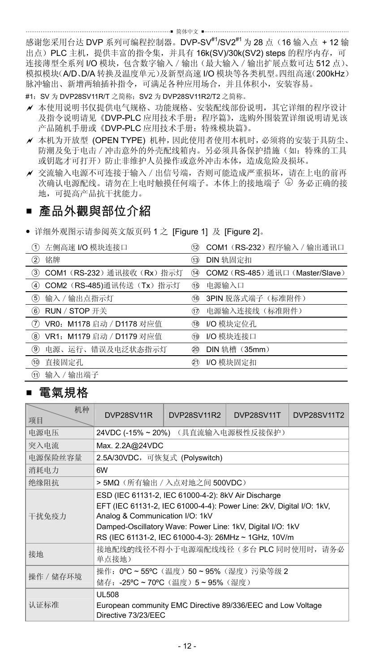…… 简体中文 …… 感谢您采用台达 DVP 系列可编程控制器。DVP-SV<sup>#1</sup>/SV2<sup>#1</sup> 为 28 点 (16 输入点 +12 输 出点) PLC 主机, 提供丰富的指令集, 并具有 16k(SV)/30k(SV2) steps 的程序内存, 可 连接薄型全系列 I/O 模块,包含数字输入 / 输出(最大输入 / 输出扩展点数可达 512 点)、 模拟模块(A/D、D/A 转换及温度单元)及新型高速 I/O 模块等各类机型。四组高速(200kHz)

脉冲输出、新增两轴插补指令,可满足各种应用场合,并且体积小,安装容易。 #1: SV 为 DVP28SV11R/T 之简称: SV2 为 DVP28SV11R2/T2 之简称。

- a 本使用说明书仅提供电气规格、功能规格、安装配线部份说明,其它详细的程序设计 及指令说明请见《DVP-PLC 应用技术手册: 程序篇》,选购外围装置详细说明请见该 产品随机手册或《DVP-PLC 应用技术手册:特殊模块篇》。
- a 本机为开放型 (OPEN TYPE) 机种,因此使用者使用本机时,必须将的安装于具防尘、 防潮及免于电击 / 冲击意外的外壳配线箱内。另必须具备保护措施(如: 特殊的工具 或钥匙才可打开)防止非维护人员操作或意外冲击本体,造成危险及损坏。
- a 交流输入电源不可连接于输入/出信号端,否则可能造成严重损坏,请在上电的前再 次确认电源配线。请勿在上电时触摸任何端子。本体上的接地端子 务必正确的接 地,可提高产品抗干扰能力。

### ■ 產品外觀與部位介紹

y 详细外观图示请参阅英文版页码 1 之 [Figure 1] 及 [Figure 2]。

| 左侧高速 I/O 模块连接口<br>〔1〕                 | (12)                                |          | COM1 (RS-232) 程序输入 / 输出通讯口       |
|---------------------------------------|-------------------------------------|----------|----------------------------------|
| 铭牌<br>2)                              | 13)                                 | DIN 轨固定扣 |                                  |
| 3)                                    | COM1 (RS-232) 通讯接收 (Rx) 指示灯<br>(14) |          | COM2 (RS-485) 通讯口 (Master/Slave) |
| COM2 (RS-485)通讯传送 (Tx) 指示灯<br>G)      | 16                                  | 电源输入口    |                                  |
| 输入 / 输出点指示灯<br>5)                     | 16                                  |          | 3PIN 脱落式端子(标准附件)                 |
| RUN / STOP 开关<br>$\epsilon$           | 17                                  |          | 电源输入连接线(标准附件)                    |
| VR0: M1178 启动 / D1178 对应值<br>(7)      | 18                                  |          | I/O 模块定位孔                        |
| VR1: M1179 启动 / D1179 对应值<br>$\bf{2}$ | 19                                  |          | I/O 模块连接口                        |
| 电源、运行、错误及电泛状态指示灯<br>9)                | 20                                  |          | DIN 轨槽 (35mm)                    |
| 直接固定孔<br>(10)                         | 21)                                 |          | I/O 模块固定扣                        |
| 输入 / 输出端子<br>n)                       |                                     |          |                                  |

# ■ 電氣規格

| 机种<br>项目  | DVP28SV11R                                                                                                                                                                                                                                                                           | DVP28SV11R2                        | DVP28SV11T | <b>DVP28SV11T2</b> |  |  |  |
|-----------|--------------------------------------------------------------------------------------------------------------------------------------------------------------------------------------------------------------------------------------------------------------------------------------|------------------------------------|------------|--------------------|--|--|--|
| 电源电压      |                                                                                                                                                                                                                                                                                      | 24VDC (-15% ~ 20%) (具直流输入电源极性反接保护) |            |                    |  |  |  |
| 突入电流      | Max. 2.2A@24VDC                                                                                                                                                                                                                                                                      |                                    |            |                    |  |  |  |
| 电源保险丝容量   | 2.5A/30VDC, 可恢复式 (Polyswitch)                                                                                                                                                                                                                                                        |                                    |            |                    |  |  |  |
| 消耗电力      | 6W                                                                                                                                                                                                                                                                                   |                                    |            |                    |  |  |  |
| 绝缘阻抗      |                                                                                                                                                                                                                                                                                      | > 5MΩ(所有输出 / 入点对地之间 500VDC)        |            |                    |  |  |  |
| 干扰免疫力     | ESD (IEC 61131-2, IEC 61000-4-2): 8kV Air Discharge<br>EFT (IEC 61131-2, IEC 61000-4-4): Power Line: 2kV, Digital I/O: 1kV,<br>Analog & Communication I/O: 1kV<br>Damped-Oscillatory Wave: Power Line: 1kV, Digital I/O: 1kV<br>RS (IEC 61131-2, IEC 61000-4-3): 26MHz ~ 1GHz, 10V/m |                                    |            |                    |  |  |  |
| 接地        | 接地配线的线径不得小于电源端配线线径(多台 PLC 同时使用时, 请务必<br>单点接地)                                                                                                                                                                                                                                        |                                    |            |                    |  |  |  |
| 操作 / 储存环境 | 操作: 0°C~55°C(温度)50~95%(湿度)污染等级 2<br>储存: -25°C~70°C(温度)5~95%(湿度)                                                                                                                                                                                                                      |                                    |            |                    |  |  |  |
| 认证标准      | <b>UL508</b><br>European community EMC Directive 89/336/EEC and Low Voltage<br>Directive 73/23/EEC                                                                                                                                                                                   |                                    |            |                    |  |  |  |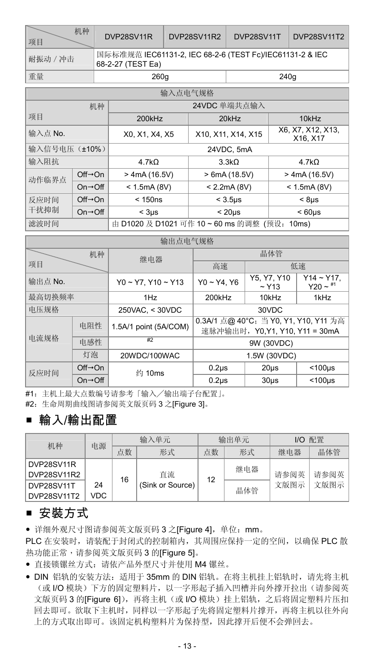| 机种<br>项目 | DVP28SV11R                                                                    | DVP28SV11R2 | DVP28SV11T DVP28SV11T2 |  |  |  |
|----------|-------------------------------------------------------------------------------|-------------|------------------------|--|--|--|
| 耐振动 / 冲击 | 国际标准规范 IEC61131-2. IEC 68-2-6 (TEST Fc)/IEC61131-2 & IEC<br>68-2-27 (TEST Ea) |             |                        |  |  |  |
| 重量       | 260a                                                                          |             | 240a                   |  |  |  |

| 输入点电气规格                       |                              |                   |                                      |                               |  |  |
|-------------------------------|------------------------------|-------------------|--------------------------------------|-------------------------------|--|--|
|                               | 机种                           |                   | 24VDC 单端共点输入                         |                               |  |  |
| 项目                            |                              | 200kHz            | 20kHz                                | 10kHz                         |  |  |
| 输入点 No.                       |                              | X0, X1, X4, X5    | X10, X11, X14, X15                   | X6, X7, X12, X13.<br>X16, X17 |  |  |
| 输入信号电压 (±10%)                 |                              | 24VDC, 5mA        |                                      |                               |  |  |
| 输入阻抗                          |                              | 4.7k <sub>O</sub> | 3.3kO                                |                               |  |  |
| $Off \rightarrow On$<br>动作临界点 |                              | $>$ 4mA (16.5V)   | > 6mA (18.5V)                        | $>$ 4mA (16.5V)               |  |  |
|                               | $On \rightarrow \bigcirc ff$ | < 1.5mA(8V)       | < 2.2mA(8V)                          | < 1.5mA(8V)                   |  |  |
| 反应时间                          | $Off \rightarrow On$         | < 150ns           | $<$ 3.5 $\mu$ s                      | $< 8$ us                      |  |  |
| 干扰抑制                          | $On \rightarrow \bigcirc ff$ | $<$ 3 $us$        | < 20 <sub>US</sub>                   | < 60 <sub>us</sub>            |  |  |
| 滤波时间                          |                              |                   | 由 D1020 及 D1021 可作 10~60 ms 的调整 (预设: | 10ms                          |  |  |

| 输出点电气规格                 |                              |                            |                                                                            |         |                             |  |
|-------------------------|------------------------------|----------------------------|----------------------------------------------------------------------------|---------|-----------------------------|--|
| 机种                      |                              | 继电器                        |                                                                            | 晶体管     |                             |  |
| 项目                      |                              |                            | 高速                                                                         |         | 低速                          |  |
| 输出点 No.                 |                              | $Y0 \sim Y7. Y10 \sim Y13$ | Y5. Y7. Y10<br>$Y0 - Y4, Y6$<br>$~\sim$ Y <sub>13</sub><br>200kHz<br>10kHz |         | $Y14 - Y17$ ,<br>$Y20 - 11$ |  |
| 最高切换频率                  |                              | 1H <sub>Z</sub>            | 1kHz                                                                       |         |                             |  |
| 电压规格<br>250VAC, < 30VDC |                              |                            | 30VDC                                                                      |         |                             |  |
| 电阻性                     |                              | 1.5A/1 point (5A/COM)      | 0.3A/1 点@ 40°C; 当 Y0, Y1, Y10, Y11 为高<br>速脉冲输出时, Y0, Y1, Y10, Y11 = 30mA   |         |                             |  |
| 电流规格                    | 电感性                          | #2                         | 9W (30VDC)                                                                 |         |                             |  |
| 灯泡                      |                              | 20WDC/100WAC               | 1.5W (30VDC)                                                               |         |                             |  |
| 反应时间                    | $Off\rightarrow On$          | 约 10ms                     | $0.2µ$ s                                                                   | 20us    | $<$ 100 $\mu$ s             |  |
|                         | $On \rightarrow \bigcirc ff$ |                            | $0.2µ$ s                                                                   | $30µ$ s | $<$ 100 $\mu$ s             |  |

#1:主机上最大点数编号请参考「输入╱输出端子台配置」。

#2:生命周期曲线图请参阅英文版页码 3 之[Figure 3]。

# 輸入/輸出配置

| 机种          | 电源   |    | 输入单元             |    | 输出单元 |      | I/O 配置 |
|-------------|------|----|------------------|----|------|------|--------|
|             |      | 点数 | 形式               | 点数 | 形式   | 继电器  | 晶体管    |
| DVP28SV11R  |      |    |                  |    | 继电器  |      |        |
| DVP28SV11R2 |      | 16 | 直流               | 12 |      | 请参阅英 | 请参阅英   |
| DVP28SV11T  | 24   |    | (Sink or Source) |    | 晶体管  | 文版图示 | 文版图示   |
| DVP28SV11T2 | VDC. |    |                  |    |      |      |        |

### ■ 安裝方式

y 详细外观尺寸图请参阅英文版页码 3 之[Figure 4],单位:mm。

PLC 在安装时,请装配于封闭式的控制箱内,其周围应保持一定的空间,以确保 PLC 散 热功能正常,请参阅英文版页码 3 的[Figure 5]。

- y 直接锁镙丝方式:请依产品外型尺寸并使用 M4 镙丝。
- DIN 铝轨的安装方法: 适用于 35mm 的 DIN 铝轨。在将主机挂上铝轨时, 请先将主机 (或 I/O 模块)下方的固定塑料片,以一字形起子插入凹槽并向外撑开拉出(请参阅英 文版页码 3 的[Figure 6]), 再将主机(或 I/O 模块)挂上铝轨, 之后将固定塑料片压扣 回去即可。欲取下主机时,同样以一字形起子先将固定塑料片撑开,再将主机以往外向 上的方式取出即可。该固定机构塑料片为保持型,因此撑开后便不会弹回去。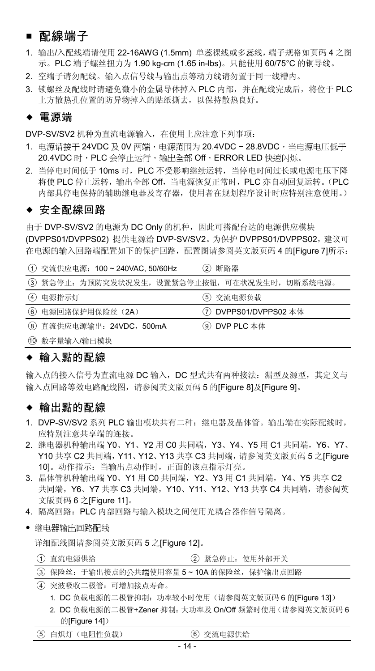### ■ 配線端子

- 1. 输出/入配线端请使用 22-16AWG (1.5mm) 单蕊祼线或多蕊线,端子规格如页码 4 之图 示。PLC 端子螺丝扭力为 1.90 kg-cm (1.65 in-lbs)。只能使用 60/75°C 的铜导线。
- 2. 空端子请勿配线。输入点信号线与输出点等动力线请勿置于同一线糟内。
- 3. 锁螺丝及配线时请避免微小的金属导体掉入 PLC 内部,并在配线完成后,将位于 PLC 上方散热孔位置的防异物掉入的贴纸撕去,以保持散热良好。

#### 電源端

DVP-SV/SV2 机种为直流电源输入,在使用上应注意下列事项:

- 1. 电源请接于 24VDC 及 0V 两端,电源范围为 20.4VDC ~ 28.8VDC,当电源电压低于 20.4VDC 时, PLC 会停止运行,输出全部 Off, ERROR LED 快速闪烁。
- 2. 当停电时间低于 10ms 时, PLC 不受影响继续运转, 当停电时间过长或电源电压下降 将使 PLC 停止运转,输出全部 Off,当电源恢复正常时,PLC 亦自动回复运转。(PLC 内部具停电保持的辅助继电器及寄存器,使用者在规划程序设计时应特别注意使用。)

#### ◆ 安全配線回路

由于 DVP-SV/SV2 的电源为 DC Only 的机种, 因此可搭配台达的电源供应模块 (DVPPS01/DVPPS02) 提供电源给 DVP-SV/SV2。为保护 DVPPS01/DVPPS02,建议可 在电源的输入回路端配置如下的保护回路,配置图请参阅英文版页码 4 的[Figure 7]所示:

|  | ① 交流供应电源: 100~240VAC, 50/60Hz | (2) 断路器 |
|--|-------------------------------|---------|
|--|-------------------------------|---------|

|                          | 3 紧急停止: 为预防突发状况发生, 设置紧急停止按钮, 可在状况发生时, 切断系统电源。 |
|--------------------------|-----------------------------------------------|
| (4) 电源指示灯                | (5) 交流电源负载                                    |
| 6 电源回路保护用保险丝 (2A)        | (7) DVPPS01/DVPPS02 本体                        |
| 8 直流供应电源输出: 24VDC, 500mA | ⑨ DVP PLC 本体                                  |
| (10 数字量输入/输出模块           |                                               |

#### ◆ 輸入點的配線

输入点的接入信号为直流电源 DC 输入,DC 型式共有两种接法:漏型及源型,其定义与 输入点回路等效电路配线图,请参阅英文版页码 5 的[Figure 8]及[Figure 9]。

#### ◆ 輸出點的配線

- 1. DVP-SV/SV2 系列 PLC 输出模块共有二种:继电器及晶体管。输出端在实际配线时, 应特别注意共享端的连接。
- 2. 继电器机种输出端 Y0、Y1、Y2 用 C0 共同端,Y3、Y4、Y5 用 C1 共同端,Y6、Y7、 Y10 共享 C2 共同端,Y11、Y12、Y13 共享 C3 共同端,请参阅英文版页码 5 之[Figure 10]。动作指示:当输出点动作时,正面的该点指示灯亮。
- 3. 晶体管机种输出端 Y0、Y1 用 C0 共同端, Y2、Y3 用 C1 共同端, Y4、Y5 共享 C2 共同端, Y6、Y7 共享 C3 共同端, Y10、Y11、Y12、Y13 共享 C4 共同端, 请参阅英 文版页码 6 之[Figure 11]。
- 4. 隔离回路:PLC 内部回路与输入模块之间使用光耦合器作信号隔离。
- y 继电器输出回路配线

详细配线图请参阅英文版页码 5 之[Figure 12]。

○<sup>1</sup> 直流电源供给 ○<sup>2</sup> 紧急停止:使用外部开关

|  | 3 保险丝: 于输出接点的公共端使用容量 5~10A 的保险丝, 保护输出点回路 |  |
|--|------------------------------------------|--|
|  |                                          |  |

- ○<sup>4</sup> 突波吸收二极管:可增加接点寿命。
	- 1. DC 负载电源的二极管抑制: 功率较小时使用(请参阅英文版页码 6 的[Figure 13])
	- 2. DC 负载电源的二极管+Zener 抑制:大功率及 On/Off 频繁时使用(请参阅英文版页码 6 的[Figure 14])

| (5) 白炽灯 (电阻性负载)<br>6 交流电源供给 |  |
|-----------------------------|--|
|-----------------------------|--|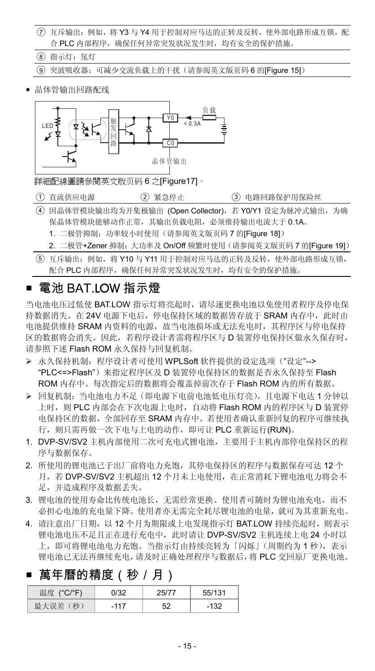- ○<sup>7</sup> 互斥输出:例如,将 Y3 与 Y4 用于控制对应马达的正转及反转,使外部电路形成互锁,配 合 PLC 内部程序,确保任何异常突发状况发生时,均有安全的保护措施。
- ○<sup>8</sup> 指示灯:氖灯
- ○<sup>9</sup> 突波吸收器:可减少交流负载上的干扰(请参阅英文版页码 6 的[Figure 15])
- y 晶体管输出回路配线



詳細配線圖請參閱英文版页码 6 之[Figure17]。

- (1) 直流供应电源 (2) 紧急停止 (3) 电路回路保护用保险丝
- ○<sup>4</sup> 因晶体管模块输出均为开集极输出 (Open Collector),若 Y0/Y1 设定为脉冲式输出,为确 保晶体管模块能够动作正常,其输出负载电阻,必须维持输出电流大于 0.1A。
	- 1. 二极管抑制: 功率较小时使用(请参阅英文版页码 7 的[Figure 18])
	- 2. 二极管+Zener 抑制:大功率及 On/Off 频繁时使用(请参阅英文版页码 7 的[Figure 19])
- ○<sup>5</sup> 互斥输出:例如,将 Y10 与 Y11 用于控制对应马达的正转及反转,使外部电路形成互锁, 配合 PLC 内部程序,确保任何异常突发状况发生时,均有安全的保护措施。

### 電池 BAT.LOW 指示燈

当电池电压过低使 BAT.LOW 指示灯将亮起时,请尽速更换电池以免使用者程序及停电保 持数据消失。在 24V 电源下电后,停电保持区域的数据皆存放于 SRAM 内存中,此时由 电池提供维持 SRAM 内资料的电源,故当电池损坏或无法充电时,其程序区与停电保持 区的数据将会消失。因此,若程序设计者需将程序区与 D 装置停电保持区做永久保存时, 请参照下述 Flash ROM 永久保持与回复机制。

- > 永久保持机制: 程序设计者可使用 WPLSoft 软件提供的设定选项("设定"--> "PLC<=>Flash")来指定程序区及 D 装置停电保持区的数据是否永久保持至 Flash ROM 内存中。每次指定后的数据将会覆盖掉前次存于 Flash ROM 内的所有数据。
- ¾ 回复机制:当电池电力不足(即电源下电前电池低电压灯亮),且电源下电达 1 分钟以 上时, 则 PLC 内部会在下次电源上电时, 自动将 Flash ROM 内的程序区与 D 装置停 电保持区的数据,全部回存至 SRAM 内存中。若使用者确认重新回复的程序可继续执 行,则只需再做一次下电与上电的动作,即可让 PLC 重新运行(RUN)。
- 1. DVP-SV/SV2 主机内部使用二次可充电式锂电池,主要用于主机内部停电保持区的程 序与数据保存。
- 2. 所使用的锂电池已于出厂前将电力充饱,其停电保持区的程序与数据保存可达 12 个 月,若 DVP-SV/SV2 主机超出 12 个月未上电使用,在正常消耗下锂电池电力将会不 足,并造成程序及数据丢失。
- 3. 锂电池的使用寿命比传统电池长,无需经常更换。使用者可随时为锂电池充电,而不 必担心电池的充电量下降。使用者亦无需完全耗尽锂电池的电量,就可为其重新充电。
- 4. 请注意出厂日期, 以 12 个月为期限或上电发现指示灯 BAT.LOW 持续亮起时, 则表示 锂电池电压不足且正在进行充电中,此时请让 DVP-SV/SV2 主机连续上电 24 小时以 上, 即可将锂电池电力充饱。当指示灯由持续亮转为「闪烁」(周期约为1秒),表示 锂电池已无法再继续充电,请及时正确处理程序与数据后,将 PLC 交回原厂更换电池。

### 萬年曆的精度(秒/月)

| 温度 (°C/°F)  | .1/32 |    | 55/131 |
|-------------|-------|----|--------|
| (秒)<br>最大定者 |       | 52 | $-132$ |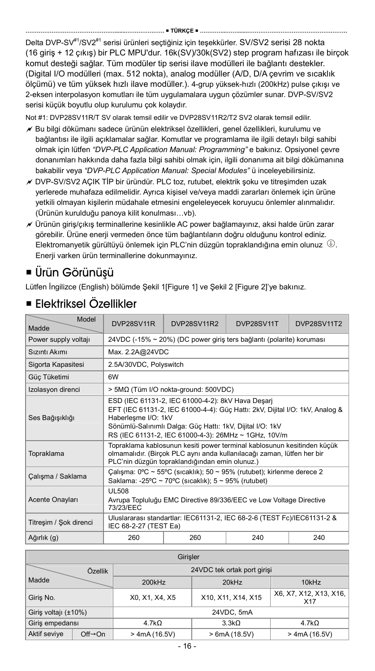Delta DVP-SV<sup>#1</sup>/SV2<sup>#1</sup> serisi ürünleri seçtiğiniz için teşekkürler. SV/SV2 serisi 28 nokta (16 giriş + 12 çıkış) bir PLC MPU'dur. 16k(SV)/30k(SV2) step program hafızası ile birçok komut desteği sağlar. Tüm modüler tip serisi ilave modülleri ile bağlantı destekler. (Digital I/O modülleri (max. 512 nokta), analog modüller (A/D, D/A çevrim ve sıcaklık ölçümü) ve tüm yüksek hızlı ilave modüller.). 4-grup yüksek-hızlı (200kHz) pulse çıkışı ve 2-eksen interpolasyon komutları ile tüm uygulamalara uygun çözümler sunar. DVP-SV/SV2 serisi küçük boyutlu olup kurulumu çok kolaydır.

Not #1: DVP28SV11R/T SV olarak temsil edilir ve DVP28SV11R2/T2 SV2 olarak temsil edilir.

- $\overline{\mathscr{A}}$  Bu bilgi dökümanı sadece ürünün elektriksel özellikleri, genel özellikleri, kurulumu ve bağlantısı ile ilgili açıklamalar sağlar. Komutlar ve programlama ile ilgili detaylı bilgi sahibi olmak için lütfen *"DVP-PLC Application Manual: Programming"* e bakınız. Opsiyonel çevre donanımları hakkında daha fazla bilgi sahibi olmak için, ilgili donanıma ait bilgi dökümanına bakabilir veya *"DVP-PLC Application Manual: Special Modules"* ü inceleyebilirsiniz.
- $\overline{A}$  DVP-SV/SV2 AÇIK TİP bir üründür. PLC toz, rutubet, elektrik şoku ve titreşimden uzak yerlerede muhafaza edilmelidir. Ayrıca kişisel ve/veya maddi zararları önlemek için ürüne yetkili olmayan kişilerin müdahale etmesini engeleleyecek koruyucu önlemler alınmalıdır. (Ürünün kurulduğu panoya kilit konulması…vb).
- $\chi$  Ürünün giriş/çıkış terminallerine kesinlikle AC power bağlamayınız, aksi halde ürün zarar görebilir. Ürüne enerji vermeden önce tüm bağlantıların doğru olduğunu kontrol ediniz. Elektromanyetik gürültüyü önlemek için PLC'nin düzgün topraklandığına emin olunuz . Enerji varken ürün terminallerine dokunmayınız.

# Ürün Görünüşü

Lütfen İngilizce (English) bölümde Şekil 1[Figure 1] ve Şekil 2 [Figure 2]'ye bakınız.

| Model<br>Madde         | DVP28SV11R                                                                                                                                                                                                                                                                    | <b>DVP28SV11R2</b>                                                   | DVP28SV11T | <b>DVP28SV11T2</b> |  |
|------------------------|-------------------------------------------------------------------------------------------------------------------------------------------------------------------------------------------------------------------------------------------------------------------------------|----------------------------------------------------------------------|------------|--------------------|--|
| Power supply voltaji   |                                                                                                                                                                                                                                                                               | 24VDC (-15% ~ 20%) (DC power giris ters bağlantı (polarite) koruması |            |                    |  |
| Sizinti Akimi          | Max. 2.2A@24VDC                                                                                                                                                                                                                                                               |                                                                      |            |                    |  |
| Sigorta Kapasitesi     | 2.5A/30VDC, Polyswitch                                                                                                                                                                                                                                                        |                                                                      |            |                    |  |
| Güç Tüketimi           | 6W                                                                                                                                                                                                                                                                            |                                                                      |            |                    |  |
| Izolasyon direnci      |                                                                                                                                                                                                                                                                               | > 5MΩ (Tüm I/O nokta-ground: 500VDC)                                 |            |                    |  |
| Ses Bağışıklığı        | ESD (IEC 61131-2, IEC 61000-4-2): 8kV Hava Desarj<br>EFT (IEC 61131-2, IEC 61000-4-4): Güç Hattı: 2kV, Dijital I/O: 1kV, Analog &<br>Haberleşme I/O: 1kV<br>Sönümlü-Salınımlı Dalga: Güç Hattı: 1kV, Dijital I/O: 1kV<br>RS (IEC 61131-2, IEC 61000-4-3): 26MHz ~ 1GHz, 10V/m |                                                                      |            |                    |  |
| Topraklama             | Topraklama kablosunun kesiti power terminal kablosunun kesitinden küçük<br>olmamalıdır. (Birçok PLC aynı anda kullanılacağı zaman, lütfen her bir<br>PLC'nin düzgün topraklandığından emin olunuz.)                                                                           |                                                                      |            |                    |  |
| Calışma / Saklama      | Calisma: 0°C ~ 55°C (sicaklik); 50 ~ 95% (rutubet); kirlenme derece 2<br>Saklama: -25°C ~ 70°C (sicaklik); 5 ~ 95% (rutubet)                                                                                                                                                  |                                                                      |            |                    |  |
| Acente Onayları        | <b>UI 508</b><br>Avrupa Topluluğu EMC Directive 89/336/EEC ve Low Voltage Directive<br>73/23/FFC                                                                                                                                                                              |                                                                      |            |                    |  |
| Titresim / Sok direnci | Uluslararası standartlar: IEC61131-2, IEC 68-2-6 (TEST Fc)/IEC61131-2 &<br>IEC 68-2-27 (TEST Ea)                                                                                                                                                                              |                                                                      |            |                    |  |
| Ağırlık (g)            | 260                                                                                                                                                                                                                                                                           | 260                                                                  | 240        | 240                |  |

### Elektriksel Özellikler

| Girisler             |                      |                                                                                   |                             |                 |  |  |  |
|----------------------|----------------------|-----------------------------------------------------------------------------------|-----------------------------|-----------------|--|--|--|
|                      | Özellik              |                                                                                   | 24VDC tek ortak port girişi |                 |  |  |  |
| Madde                |                      | 200kHz<br>20kHz<br>10kHz                                                          |                             |                 |  |  |  |
| Giris No.            |                      | X6, X7, X12, X13, X16,<br>X10, X11, X14, X15<br>X0, X1, X4, X5<br>X <sub>17</sub> |                             |                 |  |  |  |
| Giriş voltajı (±10%) |                      | 24VDC, 5mA                                                                        |                             |                 |  |  |  |
| Giris empedansı      |                      | $4.7k\Omega$                                                                      | $4.7k\Omega$                |                 |  |  |  |
| Aktif seviye         | $Off \rightarrow On$ | $>$ 4mA (16.5V)                                                                   | > 6mA(18.5V)                | $>$ 4mA (16.5V) |  |  |  |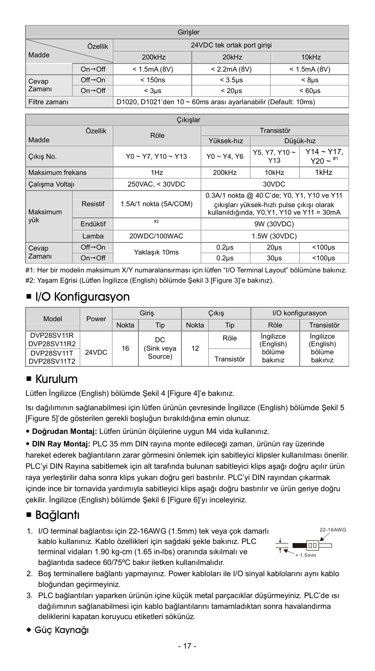| Girisler                                                                        |                              |                             |                    |                   |  |  |  |
|---------------------------------------------------------------------------------|------------------------------|-----------------------------|--------------------|-------------------|--|--|--|
|                                                                                 | Özellik                      | 24VDC tek ortak port girişi |                    |                   |  |  |  |
| Madde                                                                           |                              | 200kHz                      | 20kHz              |                   |  |  |  |
|                                                                                 | $On \rightarrow \bigcirc ff$ | < 1.5mA(8V)                 | < 2.2mA(8V)        | < 1.5mA(8V)       |  |  |  |
| Cevap                                                                           | $Off \rightarrow On$         | < 150ns                     | $<$ 3.5 $us$       | < 8 <sub>US</sub> |  |  |  |
| Zamanı                                                                          | $On \rightarrow$ Off         | $<$ 3 $\mu$ s               | < 60 <sub>US</sub> |                   |  |  |  |
| D1020, D1021'den 10 ~ 60ms arası ayarlanabilir (Default: 10ms)<br>Filtre zamanı |                              |                             |                    |                   |  |  |  |

| Cıkışlar         |                              |                            |                                                                                                                                        |                   |                             |  |  |
|------------------|------------------------------|----------------------------|----------------------------------------------------------------------------------------------------------------------------------------|-------------------|-----------------------------|--|--|
| Özellik          |                              | Röle                       |                                                                                                                                        | Transistör        |                             |  |  |
| Madde            |                              |                            | Yüksek-hız                                                                                                                             |                   | Düşük-hız                   |  |  |
| Cikis No.        |                              | $Y0 \sim Y7. Y10 \sim Y13$ | Y5. Y7. Y10~<br>$Y0 - Y4. Y6$<br>Y <sub>13</sub>                                                                                       |                   | $Y14 - Y17$ .<br>$Y20 - 11$ |  |  |
| Maksimum frekans |                              | 1H <sub>7</sub>            | 200kHz                                                                                                                                 | 10kHz             | 1kHz                        |  |  |
| Calışma Voltajı  |                              | 250VAC, < 30VDC            | 30VDC                                                                                                                                  |                   |                             |  |  |
| Maksimum         | Resistif                     | 1.5A/1 nokta (5A/COM)      | 0.3A/1 nokta @ 40°C'de; Y0, Y1, Y10 ve Y11<br>çıkışları yüksek-hızlı pulse çıkışı olarak<br>kullanıldığında, Y0, Y1, Y10 ve Y11 = 30mA |                   |                             |  |  |
| yük              | Fndüktif                     | E2                         | 9W (30VDC)                                                                                                                             |                   |                             |  |  |
|                  | I amba                       | 20WDC/100WAC               | 1.5W (30VDC)                                                                                                                           |                   |                             |  |  |
| Cevap            | $Off \rightarrow On$         | Yaklaşık 10ms              | $0.2µ$ s                                                                                                                               | 20 <sub>µ</sub> s | $<$ 100 $\mu$ s             |  |  |
| <b>Zamanı</b>    | $On \rightarrow \bigcirc ff$ |                            | $0.2u$ s                                                                                                                               | $30u$ s           | $<$ 100 $us$                |  |  |

#1: Her bir modelin maksimum X/Y numaralansırması için lütfen "I/O Terminal Layout" bölümüne bakınız. #2: Yaşam Eğrisi (Lütfen İngilizce (English) bölümde Şekil 3 [Figure 3]'e bakınız).

### ■ I/O Konfigurasyon

| Model                     | Power | Giris        |                   | Cikis        |                   | I/O konfigurasyon      |                        |
|---------------------------|-------|--------------|-------------------|--------------|-------------------|------------------------|------------------------|
|                           |       | <b>Nokta</b> | Tio               | <b>Nokta</b> | Tip               | Röle                   | Transistör             |
| DVP28SV11R<br>DVP28SV11R2 |       | 16           | DC.<br>(Sink veya | 12           | Röle              | Ingilizce<br>(English) | Ingilizce<br>(English) |
| DVP28SV11T<br>DVP28SV11T2 | 24VDC | Source)      |                   | Transistör   | bölüme<br>bakınız | bölüme<br>bakınız      |                        |

### Kurulum

Lütfen İngilizce (English) bölümde Şekil 4 [Figure 4]'e bakınız.

Isı dağılımının sağlanabilmesi için lütfen ürünün çevresinde İngilizce (English) bölümde Şekil 5 [Figure 5]'de gösterilen gerekli boşluğun bırakıldığına emin olunuz.

y **Doğrudan Montaj:** Lütfen ürünün ölçülerine uygun M4 vida kullanınız.

y **DIN Ray Montaj:** PLC 35 mm DIN rayına monte edileceği zaman, ürünün ray üzerinde hareket ederek bağlantıların zarar görmesini önlemek için sabitleyici klipsler kullanılması önerilir. PLC'yi DIN Rayına sabitlemek için alt tarafında bulunan sabitleyici klips aşağı doğru açılır ürün raya yerleştirilir daha sonra klips yukarı doğru geri bastırılır. PLC'yi DIN rayından çıkarmak içinde ince bir tornavida yardımıyla sabitleyici klips aşağı doğru bastırılır ve ürün geriye doğru çekilir. İngilizce (English) bölümde Şekil 6 [Figure 6]'yı inceleyiniz.

### Bağlantı

1. I/O terminal bağlantısı için 22-16AWG (1.5mm) tek veya çok damarlı kablo kullanınız. Kablo özellikleri için sağdaki şekle bakınız. PLC terminal vidaları 1.90 kg-cm (1.65 in-lbs) oranında sıkılmalı ve bağlantıda sadece 60/75ºC bakır iletken kullanılmalıdır.



- 2. Boş terminallere bağlantı yapmayınız. Power kabloları ile I/O sinyal kablolarını aynı kablo bloğundan geçirmeyiniz.
- 3. PLC bağlantıları yaparken ürünün içine küçük metal parçacıklar düşürmeyiniz. PLC'de ısı dağılımının sağlanabilmesi için kablo bağlantılarını tamamladıktan sonra havalandırma deliklerini kapatan koruyucu etiketleri sökünüz.
- Güç Kaynağı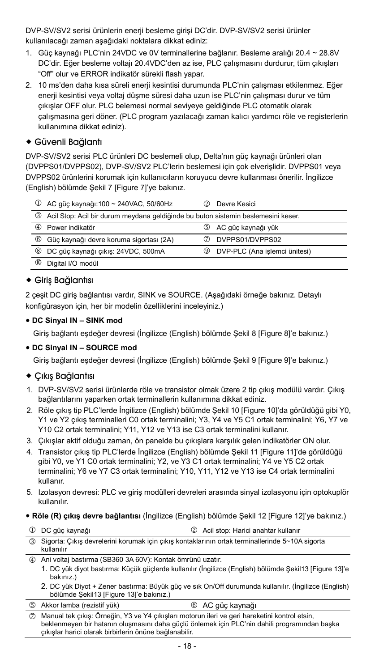DVP-SV/SV2 serisi ürünlerin enerji besleme girişi DC'dir. DVP-SV/SV2 serisi ürünler kullanılacağı zaman aşağıdaki noktalara dikkat ediniz:

- 1. Güç kaynağı PLC'nin 24VDC ve 0V terminallerine bağlanır. Besleme aralığı 20.4 ~ 28.8V DC'dir. Eğer besleme voltajı 20.4VDC'den az ise, PLC çalışmasını durdurur, tüm çıkışları "Off" olur ve ERROR indikatör sürekli flash yapar.
- 2. 10 ms'den daha kısa süreli enerji kesintisi durumunda PLC'nin çalışması etkilenmez. Eğer enerji kesintisi veya voltaj düşme süresi daha uzun ise PLC'nin çalışması durur ve tüm çıkışlar OFF olur. PLC belemesi normal seviyeye geldiğinde PLC otomatik olarak çalışmasına geri döner. (PLC program yazılacağı zaman kalıcı yardımcı röle ve registerlerin kullanımına dikkat ediniz).

#### Güvenli Bağlantı

DVP-SV/SV2 serisi PLC ürünleri DC beslemeli olup, Delta'nın güç kaynağı ürünleri olan (DVPPS01/DVPPS02), DVP-SV/SV2 PLC'lerin beslemesi için çok elverişlidir. DVPPS01 veya DVPPS02 ürünlerini korumak için kullanıcıların koruyucu devre kullanması önerilir. İngilizce (English) bölümde Şekil 7 [Figure 7]'ye bakınız.

| Φ             | AC güç kaynağı:100 ~ 240VAC, 50/60Hz                                              | Ø   | Devre Kesici                  |
|---------------|-----------------------------------------------------------------------------------|-----|-------------------------------|
| จ             | Acil Stop: Acil bir durum meydana geldiğinde bu buton sistemin beslemesini keser. |     |                               |
| @             | Power indikatör                                                                   | (5) | AC güç kaynağı yük            |
| $\circledast$ | Güç kaynağı devre koruma sigortası (2A)                                           |     | DVPPS01/DVPPS02               |
| $\circledR$   | DC güç kaynağı çıkış: 24VDC, 500mA                                                | ⊚   | DVP-PLC (Ana islemci ünitesi) |
| ഌ             | Digital I/O modül                                                                 |     |                               |

#### Giriş Bağlantısı

2 çeşit DC giriş bağlantısı vardır, SINK ve SOURCE. (Aşağıdaki örneğe bakınız. Detaylı konfigürasyon için, her bir modelin özelliklerini inceleyiniz.)

#### y **DC Sinyal IN – SINK mod**

Giriş bağlantı eşdeğer devresi (İngilizce (English) bölümde Şekil 8 [Figure 8]'e bakınız.)

#### y **DC Sinyal IN – SOURCE mod**

Giriş bağlantı eşdeğer devresi (İngilizce (English) bölümde Şekil 9 [Figure 9]'e bakınız.)

#### Çıkış Bağlantısı

- 1. DVP-SV/SV2 serisi ürünlerde röle ve transistor olmak üzere 2 tip çıkış modülü vardır. Çıkış bağlantılarını yaparken ortak terminallerin kullanımına dikkat ediniz.
- 2. Röle çıkış tip PLC'lerde İngilizce (English) bölümde Şekil 10 [Figure 10]'da görüldüğü gibi Y0, Y1 ve Y2 çıkış terminalleri C0 ortak terminalini; Y3, Y4 ve Y5 C1 ortak terminalini; Y6, Y7 ve Y10 C2 ortak terminalini; Y11, Y12 ve Y13 ise C3 ortak terminalini kullanır.
- 3. Çıkışlar aktif olduğu zaman, ön panelde bu çıkışlara karşılık gelen indikatörler ON olur.
- 4. Transistor çıkış tip PLC'lerde İngilizce (English) bölümde Şekil 11 [Figure 11]'de görüldüğü gibi Y0, ve Y1 C0 ortak terminalini; Y2, ve Y3 C1 ortak terminalini; Y4 ve Y5 C2 ortak terminalini; Y6 ve Y7 C3 ortak terminalini; Y10, Y11, Y12 ve Y13 ise C4 ortak terminalini kullanır.
- 5. Izolasyon devresi: PLC ve giriş modülleri devreleri arasında sinyal izolasyonu için optokuplör kullanılır.
- y **Röle (R) çıkış devre bağlantısı** (İngilizce (English) bölümde Şekil 12 [Figure 12]'ye bakınız.)

| 1 DC güç kaynağı                                                                                                 | 2 Acil stop: Harici anahtar kullanır |
|------------------------------------------------------------------------------------------------------------------|--------------------------------------|
| 3) Sigorta: Cıkış devrelerini korumak için çıkış kontaklarının ortak terminallerinde 5~10A sigorta<br>kullanılır |                                      |

- 
- 4 Ani voltaj bastırma (SB360 3A 60V): Kontak ömrünü uzatır.
	- 1. DC yük diyot bastırma: Küçük güçlerde kullanılır (İngilizce (English) bölümde Şekil13 [Figure 13]'e bakınız.)
	- 2. DC yük Diyot + Zener bastırma: Büyük güç ve sık On/Off durumunda kullanılır. (İngilizce (English) bölümde Şekil13 [Figure 13]'e bakınız.)

|  | 5 Akkor lamba (rezistif yük) | 6 AC güç kaynağı |
|--|------------------------------|------------------|
|--|------------------------------|------------------|

7 Manual tek çıkış: Örneğin, Y3 ve Y4 çıkışları motorun ileri ve geri hareketini kontrol etsin, beklenmeyen bir hatanın oluşmasını daha güçlü önlemek için PLC'nin dahili programından başka çıkışlar harici olarak birbirlerin önüne bağlanabilir.